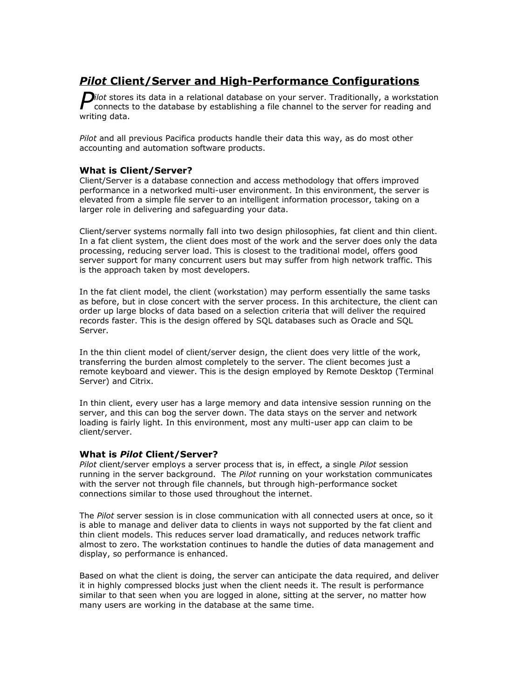# *Pilot* **Client/Server and High-Performance Configurations**

*ilot* stores its data in a relational database on your server. Traditionally, a workstation connects to the database by establishing a file channel to the server for reading and connects to the database by establishing a file channel to the server for reading and writing data.

*Pilot* and all previous Pacifica products handle their data this way, as do most other accounting and automation software products.

## **What is Client/Server?**

Client/Server is a database connection and access methodology that offers improved performance in a networked multi-user environment. In this environment, the server is elevated from a simple file server to an intelligent information processor, taking on a larger role in delivering and safeguarding your data.

Client/server systems normally fall into two design philosophies, fat client and thin client. In a fat client system, the client does most of the work and the server does only the data processing, reducing server load. This is closest to the traditional model, offers good server support for many concurrent users but may suffer from high network traffic. This is the approach taken by most developers.

In the fat client model, the client (workstation) may perform essentially the same tasks as before, but in close concert with the server process. In this architecture, the client can order up large blocks of data based on a selection criteria that will deliver the required records faster. This is the design offered by SQL databases such as Oracle and SQL Server.

In the thin client model of client/server design, the client does very little of the work, transferring the burden almost completely to the server. The client becomes just a remote keyboard and viewer. This is the design employed by Remote Desktop (Terminal Server) and Citrix.

In thin client, every user has a large memory and data intensive session running on the server, and this can bog the server down. The data stays on the server and network loading is fairly light. In this environment, most any multi-user app can claim to be client/server.

### **What is** *Pilot* **Client/Server?**

*Pilot* client/server employs a server process that is, in effect, a single *Pilot* session running in the server background. The *Pilot* running on your workstation communicates with the server not through file channels, but through high-performance socket connections similar to those used throughout the internet.

The *Pilot* server session is in close communication with all connected users at once, so it is able to manage and deliver data to clients in ways not supported by the fat client and thin client models. This reduces server load dramatically, and reduces network traffic almost to zero. The workstation continues to handle the duties of data management and display, so performance is enhanced.

Based on what the client is doing, the server can anticipate the data required, and deliver it in highly compressed blocks just when the client needs it. The result is performance similar to that seen when you are logged in alone, sitting at the server, no matter how many users are working in the database at the same time.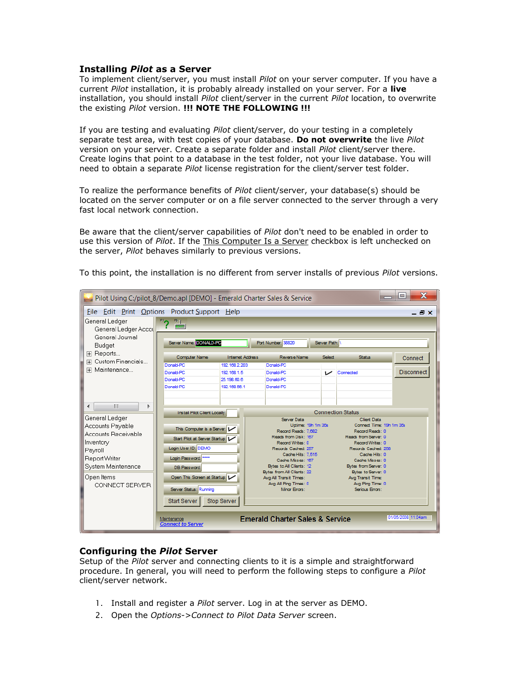### **Installing** *Pilot* **as a Server**

To implement client/server, you must install *Pilot* on your server computer. If you have a current *Pilot* installation, it is probably already installed on your server. For a **live** installation, you should install *Pilot* client/server in the current *Pilot* location, to overwrite the existing *Pilot* version. **!!! NOTE THE FOLLOWING !!!**

If you are testing and evaluating *Pilot* client/server, do your testing in a completely separate test area, with test copies of your database. **Do not overwrite** the live *Pilot* version on your server. Create a separate folder and install *Pilot* client/server there. Create logins that point to a database in the test folder, not your live database. You will need to obtain a separate *Pilot* license registration for the client/server test folder.

To realize the performance benefits of *Pilot* client/server, your database(s) should be located on the server computer or on a file server connected to the server through a very fast local network connection.

Be aware that the client/server capabilities of *Pilot* don't need to be enabled in order to use this version of *Pilot*. If the This Computer Is a Server checkbox is left unchecked on the server, *Pilot* behaves similarly to previous versions.

| File Edit Print Options Product Support Help<br>General Ledger<br>General Ledger Accol<br>General Journal<br>Budget<br>田 Reports<br>Custom Financials<br>田<br>田 Maintenance<br>Ш<br>Þ<br>General Ledger<br>Accounts Payable<br>Accounts Receivable<br>Inventory | $rac{F9}{F8}$<br>Server Name: DONALD-PC<br><b>Computer Name</b><br>Donald-PC<br>Donald-PC<br>Donald-PC<br>Donald-PC                                                                                                                      | <b>Internet Address</b><br>192.168.2.203<br>192.168.1.5 | Port Number: 38820<br>Reverse Name<br>Donald-PC                                                                                                                                                                                                                                                                                                          | Server Path:<br>Select | <b>Status</b>                                                                                                                                                                                                                                                                                                  | <b>_ 큰 ×</b>       |
|-----------------------------------------------------------------------------------------------------------------------------------------------------------------------------------------------------------------------------------------------------------------|------------------------------------------------------------------------------------------------------------------------------------------------------------------------------------------------------------------------------------------|---------------------------------------------------------|----------------------------------------------------------------------------------------------------------------------------------------------------------------------------------------------------------------------------------------------------------------------------------------------------------------------------------------------------------|------------------------|----------------------------------------------------------------------------------------------------------------------------------------------------------------------------------------------------------------------------------------------------------------------------------------------------------------|--------------------|
|                                                                                                                                                                                                                                                                 |                                                                                                                                                                                                                                          |                                                         |                                                                                                                                                                                                                                                                                                                                                          |                        |                                                                                                                                                                                                                                                                                                                |                    |
|                                                                                                                                                                                                                                                                 |                                                                                                                                                                                                                                          |                                                         |                                                                                                                                                                                                                                                                                                                                                          |                        |                                                                                                                                                                                                                                                                                                                |                    |
|                                                                                                                                                                                                                                                                 |                                                                                                                                                                                                                                          |                                                         |                                                                                                                                                                                                                                                                                                                                                          |                        |                                                                                                                                                                                                                                                                                                                |                    |
|                                                                                                                                                                                                                                                                 |                                                                                                                                                                                                                                          |                                                         |                                                                                                                                                                                                                                                                                                                                                          |                        |                                                                                                                                                                                                                                                                                                                | Connect            |
|                                                                                                                                                                                                                                                                 |                                                                                                                                                                                                                                          |                                                         |                                                                                                                                                                                                                                                                                                                                                          |                        |                                                                                                                                                                                                                                                                                                                |                    |
|                                                                                                                                                                                                                                                                 |                                                                                                                                                                                                                                          |                                                         | Donald-PC                                                                                                                                                                                                                                                                                                                                                | ے                      | Connected                                                                                                                                                                                                                                                                                                      | <b>Disconnect</b>  |
|                                                                                                                                                                                                                                                                 |                                                                                                                                                                                                                                          | 25 198 60 6<br>192.168.56.1                             | Donald-PC<br>Donald-PC                                                                                                                                                                                                                                                                                                                                   |                        |                                                                                                                                                                                                                                                                                                                |                    |
| Payroll<br>Report Writer<br>System Maintenance<br>Open Items<br>CONNECT SERVER<br>Maintenance                                                                                                                                                                   | Install Pilot Client Locally:<br>This Computer is a Server:<br>Start Pilot at Server Startup: L<br>Login User ID: DEMO<br>Login Password: ****<br>DB Password:<br>Open This Screen at Startup:<br>Server Status: Running<br>Start Server | Stop Server                                             | <b>Server Data</b><br>Uptime: 19h 1m 35s<br>Record Reads: 7.682<br>Reads from Disk: 167<br>Record Writes: 0<br>Records Cached: 257<br>Cache Hits: 7.515<br>Cache Misses: 167<br>Bytes to All Clients: 12<br>Bytes from All Clients: 22<br>Avg All Transit Times:<br>Avg All Ping Times: 0<br>Minor Errors:<br><b>Emerald Charter Sales &amp; Service</b> |                        | <b>Connection Status</b><br><b>Client Data</b><br>Connect Time: 19h 1m 35s<br>Record Reads: 0<br>Reads from Server: 0<br>Record Writes: 0<br>Records Cached: 258<br>Cache Hits: 0<br>Cache Misses: 0<br>Bytes from Server: 0<br>Bytes to Server: 0<br>Avg Transit Time:<br>Avg Ping Time: 0<br>Serious Errors: | 01/05/2008 11:04am |

To this point, the installation is no different from server installs of previous *Pilot* versions.

### **Configuring the** *Pilot* **Server**

Setup of the *Pilot* server and connecting clients to it is a simple and straightforward procedure. In general, you will need to perform the following steps to configure a *Pilot* client/server network.

- 1. Install and register a *Pilot* server. Log in at the server as DEMO.
- 2. Open the *Options->Connect to Pilot Data Server* screen.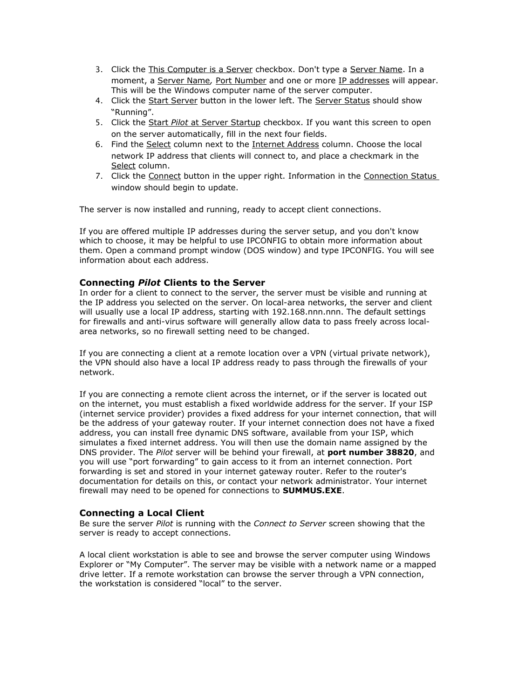- 3. Click the This Computer is a Server checkbox. Don't type a Server Name. In a moment, a Server Name*,* Port Number and one or more IP addresses will appear. This will be the Windows computer name of the server computer.
- 4. Click the Start Server button in the lower left. The Server Status should show "Running".
- 5. Click the Start *Pilot* at Server Startup checkbox. If you want this screen to open on the server automatically, fill in the next four fields.
- 6. Find the Select column next to the Internet Address column. Choose the local network IP address that clients will connect to, and place a checkmark in the Select column.
- 7. Click the Connect button in the upper right. Information in the Connection Status window should begin to update.

The server is now installed and running, ready to accept client connections.

If you are offered multiple IP addresses during the server setup, and you don't know which to choose, it may be helpful to use IPCONFIG to obtain more information about them. Open a command prompt window (DOS window) and type IPCONFIG. You will see information about each address.

## **Connecting** *Pilot* **Clients to the Server**

In order for a client to connect to the server, the server must be visible and running at the IP address you selected on the server. On local-area networks, the server and client will usually use a local IP address, starting with 192.168.nnn.nnn. The default settings for firewalls and anti-virus software will generally allow data to pass freely across localarea networks, so no firewall setting need to be changed.

If you are connecting a client at a remote location over a VPN (virtual private network), the VPN should also have a local IP address ready to pass through the firewalls of your network.

If you are connecting a remote client across the internet, or if the server is located out on the internet, you must establish a fixed worldwide address for the server. If your ISP (internet service provider) provides a fixed address for your internet connection, that will be the address of your gateway router. If your internet connection does not have a fixed address, you can install free dynamic DNS software, available from your ISP, which simulates a fixed internet address. You will then use the domain name assigned by the DNS provider. The *Pilot* server will be behind your firewall, at **port number 38820**, and you will use "port forwarding" to gain access to it from an internet connection. Port forwarding is set and stored in your internet gateway router. Refer to the router's documentation for details on this, or contact your network administrator. Your internet firewall may need to be opened for connections to **SUMMUS.EXE**.

### **Connecting a Local Client**

Be sure the server *Pilot* is running with the *Connect to Server* screen showing that the server is ready to accept connections.

A local client workstation is able to see and browse the server computer using Windows Explorer or "My Computer". The server may be visible with a network name or a mapped drive letter. If a remote workstation can browse the server through a VPN connection, the workstation is considered "local" to the server.